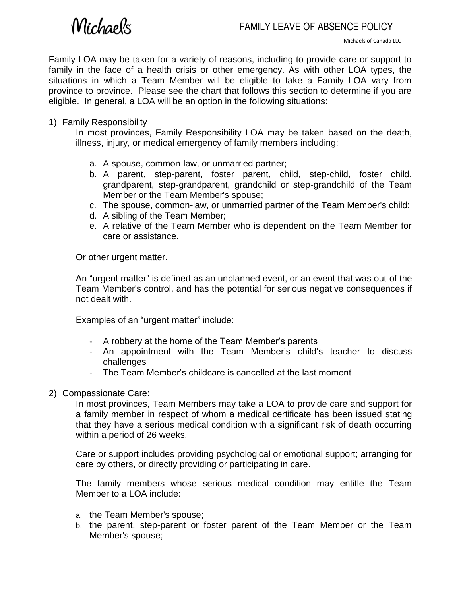# *Michaels*

Family LOA may be taken for a variety of reasons, including to provide care or support to family in the face of a health crisis or other emergency. As with other LOA types, the situations in which a Team Member will be eligible to take a Family LOA vary from province to province. Please see the chart that follows this section to determine if you are eligible. In general, a LOA will be an option in the following situations:

#### 1) Family Responsibility

In most provinces, Family Responsibility LOA may be taken based on the death, illness, injury, or medical emergency of family members including:

- a. A spouse, common-law, or unmarried partner;
- b. A parent, step-parent, foster parent, child, step-child, foster child, grandparent, step-grandparent, grandchild or step-grandchild of the Team Member or the Team Member's spouse;
- c. The spouse, common-law, or unmarried partner of the Team Member's child;
- d. A sibling of the Team Member;
- e. A relative of the Team Member who is dependent on the Team Member for care or assistance.

Or other urgent matter.

An "urgent matter" is defined as an unplanned event, or an event that was out of the Team Member's control, and has the potential for serious negative consequences if not dealt with.

Examples of an "urgent matter" include:

- A robbery at the home of the Team Member's parents
- An appointment with the Team Member's child's teacher to discuss challenges
- The Team Member's childcare is cancelled at the last moment
- 2) Compassionate Care:

In most provinces, Team Members may take a LOA to provide care and support for a family member in respect of whom a medical certificate has been issued stating that they have a serious medical condition with a significant risk of death occurring within a period of 26 weeks.

Care or support includes providing psychological or emotional support; arranging for care by others, or directly providing or participating in care.

The family members whose serious medical condition may entitle the Team Member to a LOA include:

- a. the Team Member's spouse;
- b. the parent, step-parent or foster parent of the Team Member or the Team Member's spouse;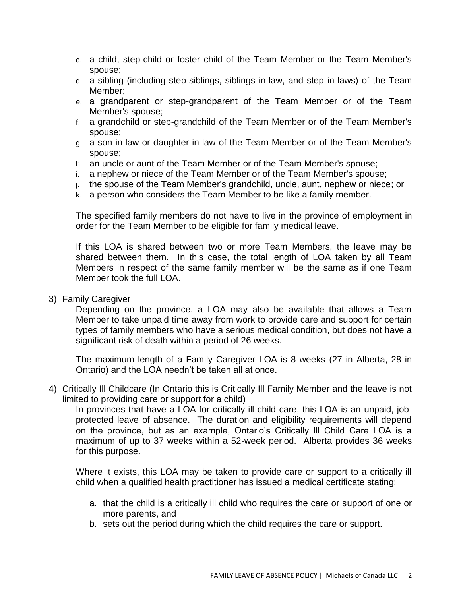- c. a child, step-child or foster child of the Team Member or the Team Member's spouse;
- d. a sibling (including step-siblings, siblings in-law, and step in-laws) of the Team Member;
- e. a grandparent or step-grandparent of the Team Member or of the Team Member's spouse;
- f. a grandchild or step-grandchild of the Team Member or of the Team Member's spouse;
- g. a son-in-law or daughter-in-law of the Team Member or of the Team Member's spouse;
- h. an uncle or aunt of the Team Member or of the Team Member's spouse;
- i. a nephew or niece of the Team Member or of the Team Member's spouse;
- j. the spouse of the Team Member's grandchild, uncle, aunt, nephew or niece; or
- k. a person who considers the Team Member to be like a family member.

The specified family members do not have to live in the province of employment in order for the Team Member to be eligible for family medical leave.

If this LOA is shared between two or more Team Members, the leave may be shared between them. In this case, the total length of LOA taken by all Team Members in respect of the same family member will be the same as if one Team Member took the full LOA.

3) Family Caregiver

Depending on the province, a LOA may also be available that allows a Team Member to take unpaid time away from work to provide care and support for certain types of family members who have a serious medical condition, but does not have a significant risk of death within a period of 26 weeks.

The maximum length of a Family Caregiver LOA is 8 weeks (27 in Alberta, 28 in Ontario) and the LOA needn't be taken all at once.

4) Critically Ill Childcare (In Ontario this is Critically Ill Family Member and the leave is not limited to providing care or support for a child)

In provinces that have a LOA for critically ill child care, this LOA is an unpaid, jobprotected leave of absence. The duration and eligibility requirements will depend on the province, but as an example, Ontario's Critically Ill Child Care LOA is a maximum of up to 37 weeks within a 52-week period. Alberta provides 36 weeks for this purpose.

Where it exists, this LOA may be taken to provide care or support to a critically ill child when a qualified health practitioner has issued a medical certificate stating:

- a. that the child is a critically ill child who requires the care or support of one or more parents, and
- b. sets out the period during which the child requires the care or support.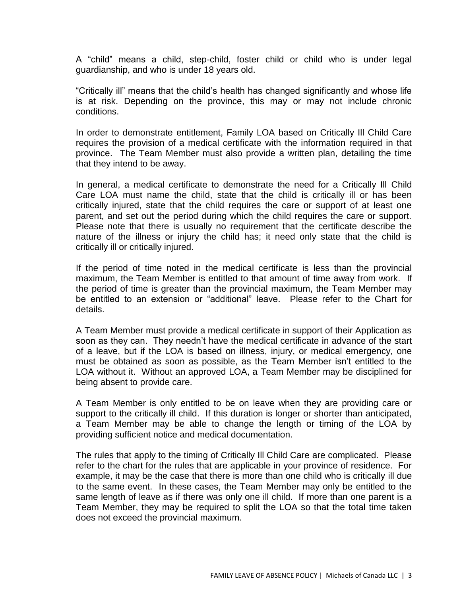A "child" means a child, step-child, foster child or child who is under legal guardianship, and who is under 18 years old.

"Critically ill" means that the child's health has changed significantly and whose life is at risk. Depending on the province, this may or may not include chronic conditions.

In order to demonstrate entitlement, Family LOA based on Critically Ill Child Care requires the provision of a medical certificate with the information required in that province. The Team Member must also provide a written plan, detailing the time that they intend to be away.

In general, a medical certificate to demonstrate the need for a Critically Ill Child Care LOA must name the child, state that the child is critically ill or has been critically injured, state that the child requires the care or support of at least one parent, and set out the period during which the child requires the care or support. Please note that there is usually no requirement that the certificate describe the nature of the illness or injury the child has; it need only state that the child is critically ill or critically injured.

If the period of time noted in the medical certificate is less than the provincial maximum, the Team Member is entitled to that amount of time away from work. If the period of time is greater than the provincial maximum, the Team Member may be entitled to an extension or "additional" leave. Please refer to the Chart for details.

A Team Member must provide a medical certificate in support of their Application as soon as they can. They needn't have the medical certificate in advance of the start of a leave, but if the LOA is based on illness, injury, or medical emergency, one must be obtained as soon as possible, as the Team Member isn't entitled to the LOA without it. Without an approved LOA, a Team Member may be disciplined for being absent to provide care.

A Team Member is only entitled to be on leave when they are providing care or support to the critically ill child. If this duration is longer or shorter than anticipated, a Team Member may be able to change the length or timing of the LOA by providing sufficient notice and medical documentation.

The rules that apply to the timing of Critically Ill Child Care are complicated. Please refer to the chart for the rules that are applicable in your province of residence. For example, it may be the case that there is more than one child who is critically ill due to the same event. In these cases, the Team Member may only be entitled to the same length of leave as if there was only one ill child. If more than one parent is a Team Member, they may be required to split the LOA so that the total time taken does not exceed the provincial maximum.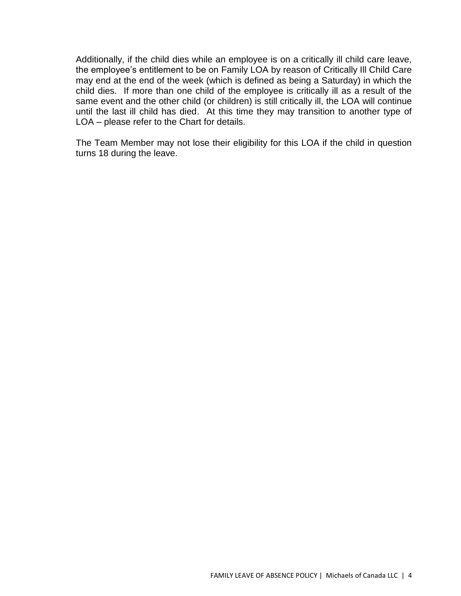Additionally, if the child dies while an employee is on a critically ill child care leave, the employee's entitlement to be on Family LOA by reason of Critically Ill Child Care may end at the end of the week (which is defined as being a Saturday) in which the child dies. If more than one child of the employee is critically ill as a result of the same event and the other child (or children) is still critically ill, the LOA will continue until the last ill child has died. At this time they may transition to another type of LOA – please refer to the Chart for details.

The Team Member may not lose their eligibility for this LOA if the child in question turns 18 during the leave.